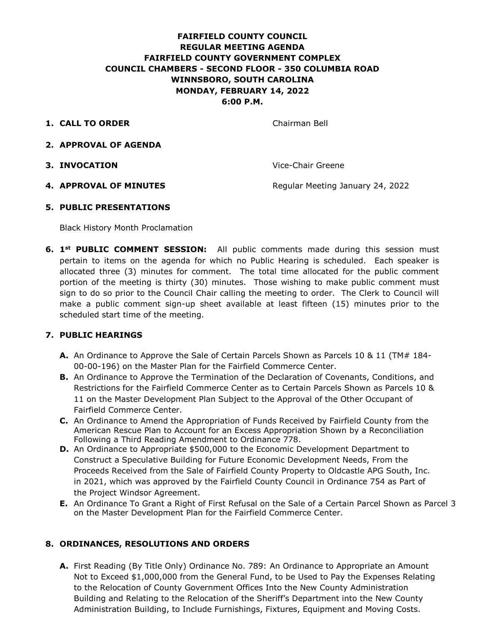# **FAIRFIELD COUNTY COUNCIL REGULAR MEETING AGENDA FAIRFIELD COUNTY GOVERNMENT COMPLEX COUNCIL CHAMBERS - SECOND FLOOR - 350 COLUMBIA ROAD WINNSBORO, SOUTH CAROLINA MONDAY, FEBRUARY 14, 2022 6:00 P.M.**

**1. CALL TO ORDER** Chairman Bell

- **2. APPROVAL OF AGENDA**
- **3. INVOCATION Vice-Chair Greene**

**4. APPROVAL OF MINUTES** Regular Meeting January 24, 2022

#### **5. PUBLIC PRESENTATIONS**

Black History Month Proclamation

**6. 1st PUBLIC COMMENT SESSION:** All public comments made during this session must pertain to items on the agenda for which no Public Hearing is scheduled. Each speaker is allocated three (3) minutes for comment. The total time allocated for the public comment portion of the meeting is thirty (30) minutes. Those wishing to make public comment must sign to do so prior to the Council Chair calling the meeting to order. The Clerk to Council will make a public comment sign-up sheet available at least fifteen (15) minutes prior to the scheduled start time of the meeting.

### **7. PUBLIC HEARINGS**

- **A.** An Ordinance to Approve the Sale of Certain Parcels Shown as Parcels 10 & 11 (TM# 184- 00-00-196) on the Master Plan for the Fairfield Commerce Center.
- **B.** An Ordinance to Approve the Termination of the Declaration of Covenants, Conditions, and Restrictions for the Fairfield Commerce Center as to Certain Parcels Shown as Parcels 10 & 11 on the Master Development Plan Subject to the Approval of the Other Occupant of Fairfield Commerce Center.
- **C.** An Ordinance to Amend the Appropriation of Funds Received by Fairfield County from the American Rescue Plan to Account for an Excess Appropriation Shown by a Reconciliation Following a Third Reading Amendment to Ordinance 778.
- **D.** An Ordinance to Appropriate \$500,000 to the Economic Development Department to Construct a Speculative Building for Future Economic Development Needs, From the Proceeds Received from the Sale of Fairfield County Property to Oldcastle APG South, Inc. in 2021, which was approved by the Fairfield County Council in Ordinance 754 as Part of the Project Windsor Agreement.
- **E.** An Ordinance To Grant a Right of First Refusal on the Sale of a Certain Parcel Shown as Parcel 3 on the Master Development Plan for the Fairfield Commerce Center.

### **8. ORDINANCES, RESOLUTIONS AND ORDERS**

**A.** First Reading (By Title Only) Ordinance No. 789: An Ordinance to Appropriate an Amount Not to Exceed \$1,000,000 from the General Fund, to be Used to Pay the Expenses Relating to the Relocation of County Government Offices Into the New County Administration Building and Relating to the Relocation of the Sheriff's Department into the New County Administration Building, to Include Furnishings, Fixtures, Equipment and Moving Costs.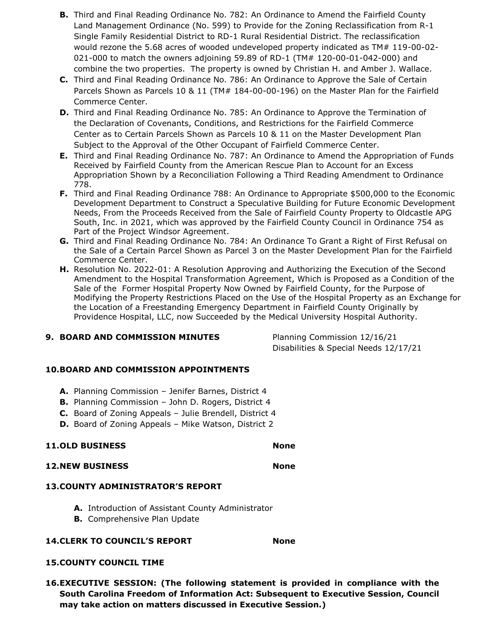- **B.** Third and Final Reading Ordinance No. 782: An Ordinance to Amend the Fairfield County Land Management Ordinance (No. 599) to Provide for the Zoning Reclassification from R-1 Single Family Residential District to RD-1 Rural Residential District. The reclassification would rezone the 5.68 acres of wooded undeveloped property indicated as TM# 119-00-02- 021-000 to match the owners adjoining 59.89 of RD-1 (TM# 120-00-01-042-000) and combine the two properties. The property is owned by Christian H. and Amber J. Wallace.
- **C.** Third and Final Reading Ordinance No. 786: An Ordinance to Approve the Sale of Certain Parcels Shown as Parcels 10 & 11 (TM# 184-00-00-196) on the Master Plan for the Fairfield Commerce Center.
- **D.** Third and Final Reading Ordinance No. 785: An Ordinance to Approve the Termination of the Declaration of Covenants, Conditions, and Restrictions for the Fairfield Commerce Center as to Certain Parcels Shown as Parcels 10 & 11 on the Master Development Plan Subject to the Approval of the Other Occupant of Fairfield Commerce Center.
- **E.** Third and Final Reading Ordinance No. 787: An Ordinance to Amend the Appropriation of Funds Received by Fairfield County from the American Rescue Plan to Account for an Excess Appropriation Shown by a Reconciliation Following a Third Reading Amendment to Ordinance 778.
- **F.** Third and Final Reading Ordinance 788: An Ordinance to Appropriate \$500,000 to the Economic Development Department to Construct a Speculative Building for Future Economic Development Needs, From the Proceeds Received from the Sale of Fairfield County Property to Oldcastle APG South, Inc. in 2021, which was approved by the Fairfield County Council in Ordinance 754 as Part of the Project Windsor Agreement.
- **G.** Third and Final Reading Ordinance No. 784: An Ordinance To Grant a Right of First Refusal on the Sale of a Certain Parcel Shown as Parcel 3 on the Master Development Plan for the Fairfield Commerce Center.
- **H.** Resolution No. 2022-01: A Resolution Approving and Authorizing the Execution of the Second Amendment to the Hospital Transformation Agreement, Which is Proposed as a Condition of the Sale of the Former Hospital Property Now Owned by Fairfield County, for the Purpose of Modifying the Property Restrictions Placed on the Use of the Hospital Property as an Exchange for the Location of a Freestanding Emergency Department in Fairfield County Originally by Providence Hospital, LLC, now Succeeded by the Medical University Hospital Authority.

### **9. BOARD AND COMMISSION MINUTES** Planning Commission 12/16/21

Disabilities & Special Needs 12/17/21

### **10.BOARD AND COMMISSION APPOINTMENTS**

- **A.** Planning Commission Jenifer Barnes, District 4
- **B.** Planning Commission John D. Rogers, District 4
- **C.** Board of Zoning Appeals Julie Brendell, District 4
- **D.** Board of Zoning Appeals Mike Watson, District 2

### **11.OLD BUSINESS None**

## **12.NEW BUSINESS None**

### **13.COUNTY ADMINISTRATOR'S REPORT**

- **A.** Introduction of Assistant County Administrator
- **B.** Comprehensive Plan Update

### **14.CLERK TO COUNCIL'S REPORT None**

### **15.COUNTY COUNCIL TIME**

**16.EXECUTIVE SESSION: (The following statement is provided in compliance with the South Carolina Freedom of Information Act: Subsequent to Executive Session, Council may take action on matters discussed in Executive Session.)**